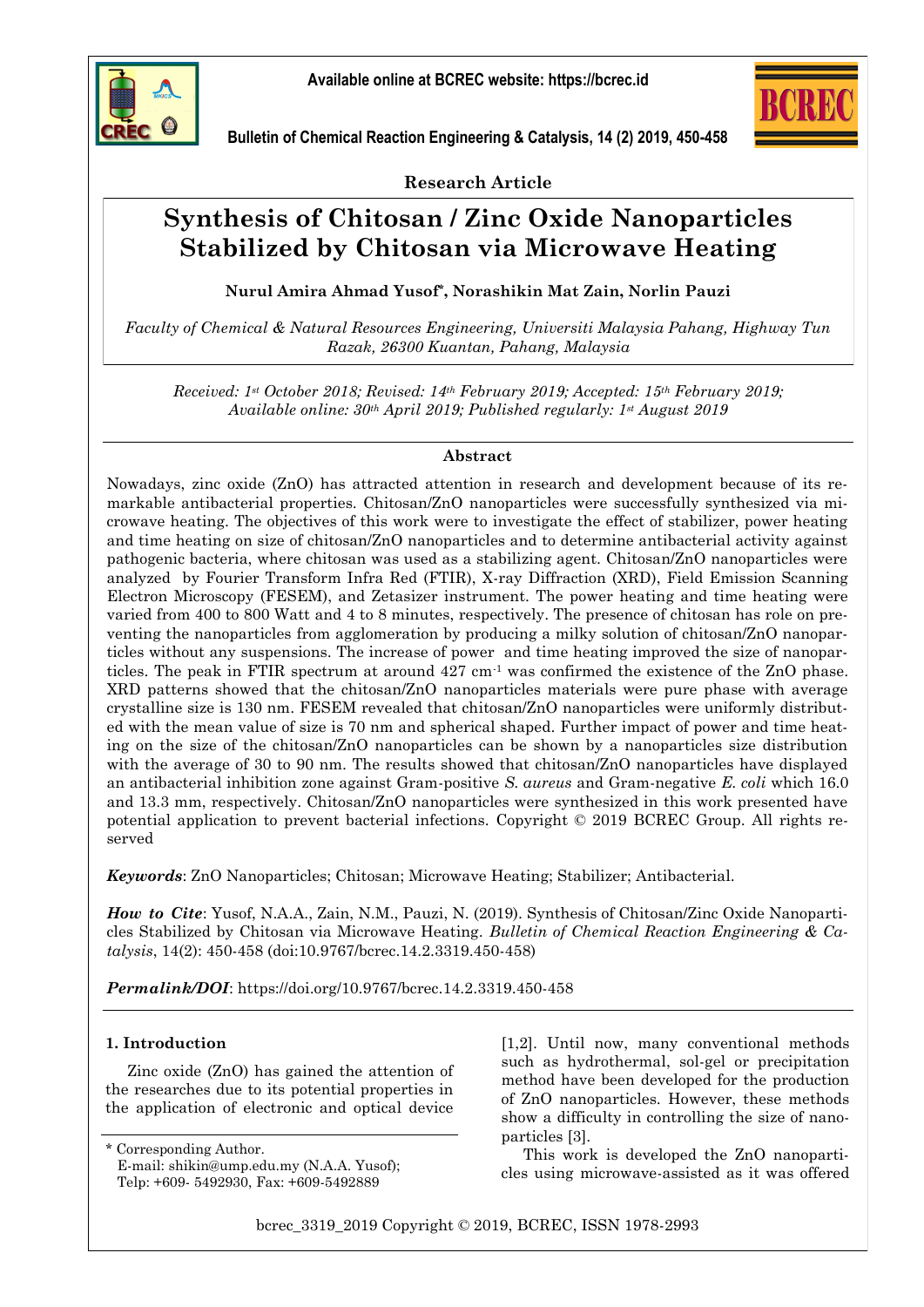





**Research Article**

# **Synthesis of Chitosan / Zinc Oxide Nanoparticles Stabilized by Chitosan via Microwave Heating**

**Nurul Amira Ahmad Yusof\*, Norashikin Mat Zain, Norlin Pauzi**

*Faculty of Chemical & Natural Resources Engineering, Universiti Malaysia Pahang, Highway Tun Razak, 26300 Kuantan, Pahang, Malaysia*

*Received: 1st October 2018; Revised: 14th February 2019; Accepted: 15th February 2019; Available online: 30th April 2019; Published regularly: 1st August 2019*

# **Abstract**

Nowadays, zinc oxide (ZnO) has attracted attention in research and development because of its remarkable antibacterial properties. Chitosan/ZnO nanoparticles were successfully synthesized via microwave heating. The objectives of this work were to investigate the effect of stabilizer, power heating and time heating on size of chitosan/ZnO nanoparticles and to determine antibacterial activity against pathogenic bacteria, where chitosan was used as a stabilizing agent. Chitosan/ZnO nanoparticles were analyzed by Fourier Transform Infra Red (FTIR), X-ray Diffraction (XRD), Field Emission Scanning Electron Microscopy (FESEM), and Zetasizer instrument. The power heating and time heating were varied from 400 to 800 Watt and 4 to 8 minutes, respectively. The presence of chitosan has role on preventing the nanoparticles from agglomeration by producing a milky solution of chitosan/ZnO nanoparticles without any suspensions. The increase of power and time heating improved the size of nanoparticles. The peak in FTIR spectrum at around 427 cm-1 was confirmed the existence of the ZnO phase. XRD patterns showed that the chitosan/ZnO nanoparticles materials were pure phase with average crystalline size is 130 nm. FESEM revealed that chitosan/ZnO nanoparticles were uniformly distributed with the mean value of size is 70 nm and spherical shaped. Further impact of power and time heating on the size of the chitosan/ZnO nanoparticles can be shown by a nanoparticles size distribution with the average of 30 to 90 nm. The results showed that chitosan/ZnO nanoparticles have displayed an antibacterial inhibition zone against Gram-positive *S. aureus* and Gram-negative *E. coli* which 16.0 and 13.3 mm, respectively. Chitosan/ZnO nanoparticles were synthesized in this work presented have potential application to prevent bacterial infections. Copyright © 2019 BCREC Group. All rights reserved

*Keywords*: ZnO Nanoparticles; Chitosan; Microwave Heating; Stabilizer; Antibacterial.

*How to Cite*: Yusof, N.A.A., Zain, N.M., Pauzi, N. (2019). Synthesis of Chitosan/Zinc Oxide Nanoparticles Stabilized by Chitosan via Microwave Heating. *Bulletin of Chemical Reaction Engineering & Catalysis*, 14(2): 450-458 (doi:10.9767/bcrec.14.2.3319.450-458)

*Permalink/DOI*: https://doi.org/10.9767/bcrec.14.2.3319.450-458

# **1. Introduction**

Zinc oxide (ZnO) has gained the attention of the researches due to its potential properties in the application of electronic and optical device

Corresponding Author.

[1,2]. Until now, many conventional methods such as hydrothermal, sol-gel or precipitation method have been developed for the production of ZnO nanoparticles. However, these methods show a difficulty in controlling the size of nanoparticles [3].

This work is developed the ZnO nanoparticles using microwave-assisted as it was offered

bcrec\_3319\_2019 Copyright © 2019, BCREC, ISSN 1978-2993

E-mail: shikin@ump.edu.my (N.A.A. Yusof); Telp: +609- 5492930, Fax: +609-5492889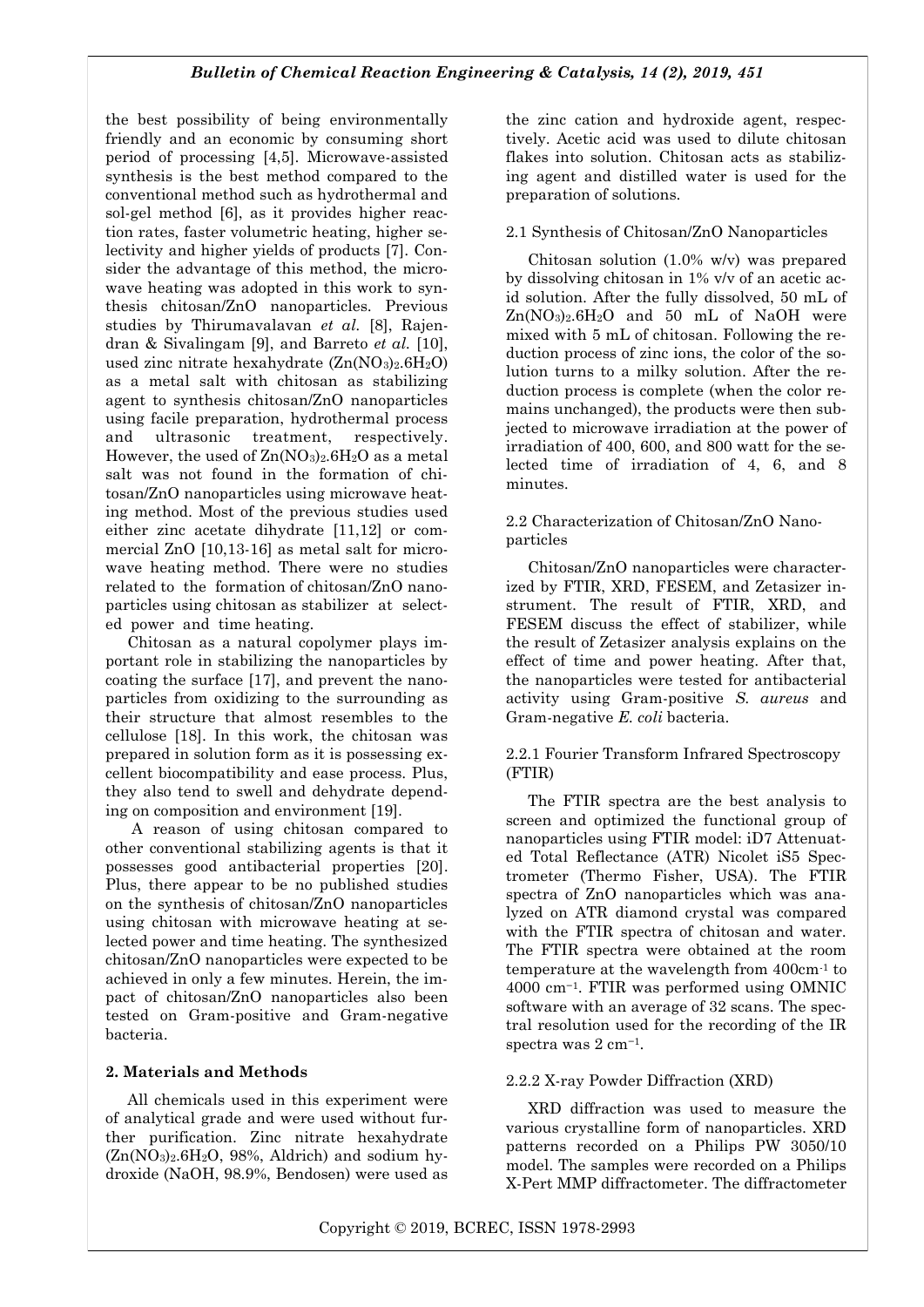the best possibility of being environmentally friendly and an economic by consuming short period of processing [4,5]. Microwave-assisted synthesis is the best method compared to the conventional method such as hydrothermal and sol-gel method [6], as it provides higher reaction rates, faster volumetric heating, higher selectivity and higher yields of products [7]. Consider the advantage of this method, the microwave heating was adopted in this work to synthesis chitosan/ZnO nanoparticles. Previous studies by Thirumavalavan *et al.* [8], Rajendran & Sivalingam [9], and Barreto *et al.* [10], used zinc nitrate hexahydrate  $(Zn(NO<sub>3</sub>)<sub>2</sub>.6H<sub>2</sub>O)$ as a metal salt with chitosan as stabilizing agent to synthesis chitosan/ZnO nanoparticles using facile preparation, hydrothermal process and ultrasonic treatment, respectively. However, the used of  $Zn(NO<sub>3</sub>)<sub>2</sub>.6H<sub>2</sub>O$  as a metal salt was not found in the formation of chitosan/ZnO nanoparticles using microwave heating method. Most of the previous studies used either zinc acetate dihydrate [11,12] or commercial ZnO [10,13-16] as metal salt for microwave heating method. There were no studies related to the formation of chitosan/ZnO nanoparticles using chitosan as stabilizer at selected power and time heating.

Chitosan as a natural copolymer plays important role in stabilizing the nanoparticles by coating the surface [17], and prevent the nanoparticles from oxidizing to the surrounding as their structure that almost resembles to the cellulose [18]. In this work, the chitosan was prepared in solution form as it is possessing excellent biocompatibility and ease process. Plus, they also tend to swell and dehydrate depending on composition and environment [19].

A reason of using chitosan compared to other conventional stabilizing agents is that it possesses good antibacterial properties [20]. Plus, there appear to be no published studies on the synthesis of chitosan/ZnO nanoparticles using chitosan with microwave heating at selected power and time heating. The synthesized chitosan/ZnO nanoparticles were expected to be achieved in only a few minutes. Herein, the impact of chitosan/ZnO nanoparticles also been tested on Gram-positive and Gram-negative bacteria.

# **2. Materials and Methods**

All chemicals used in this experiment were of analytical grade and were used without further purification. Zinc nitrate hexahydrate  $(Zn(NO<sub>3</sub>)<sub>2</sub>.6H<sub>2</sub>O, 98%, Aldrich)$  and sodium hydroxide (NaOH, 98.9%, Bendosen) were used as

the zinc cation and hydroxide agent, respectively. Acetic acid was used to dilute chitosan flakes into solution. Chitosan acts as stabilizing agent and distilled water is used for the preparation of solutions.

## 2.1 Synthesis of Chitosan/ZnO Nanoparticles

Chitosan solution (1.0% w/v) was prepared by dissolving chitosan in 1% v/v of an acetic acid solution. After the fully dissolved, 50 mL of  $Zn(NO<sub>3</sub>)<sub>2</sub>$ .6H<sub>2</sub>O and 50 mL of NaOH were mixed with 5 mL of chitosan. Following the reduction process of zinc ions, the color of the solution turns to a milky solution. After the reduction process is complete (when the color remains unchanged), the products were then subjected to microwave irradiation at the power of irradiation of 400, 600, and 800 watt for the selected time of irradiation of 4, 6, and 8 minutes.

## 2.2 Characterization of Chitosan/ZnO Nanoparticles

Chitosan/ZnO nanoparticles were characterized by FTIR, XRD, FESEM, and Zetasizer instrument. The result of FTIR, XRD, and FESEM discuss the effect of stabilizer, while the result of Zetasizer analysis explains on the effect of time and power heating. After that, the nanoparticles were tested for antibacterial activity using Gram-positive *S. aureus* and Gram-negative *E. coli* bacteria.

# 2.2.1 Fourier Transform Infrared Spectroscopy (FTIR)

The FTIR spectra are the best analysis to screen and optimized the functional group of nanoparticles using FTIR model: iD7 Attenuated Total Reflectance (ATR) Nicolet iS5 Spectrometer (Thermo Fisher, USA). The FTIR spectra of ZnO nanoparticles which was analyzed on ATR diamond crystal was compared with the FTIR spectra of chitosan and water. The FTIR spectra were obtained at the room temperature at the wavelength from 400cm-1 to 4000 cm−1. FTIR was performed using OMNIC software with an average of 32 scans. The spectral resolution used for the recording of the IR spectra was 2 cm−1.

# 2.2.2 X-ray Powder Diffraction (XRD)

XRD diffraction was used to measure the various crystalline form of nanoparticles. XRD patterns recorded on a Philips PW 3050/10 model. The samples were recorded on a Philips X-Pert MMP diffractometer. The diffractometer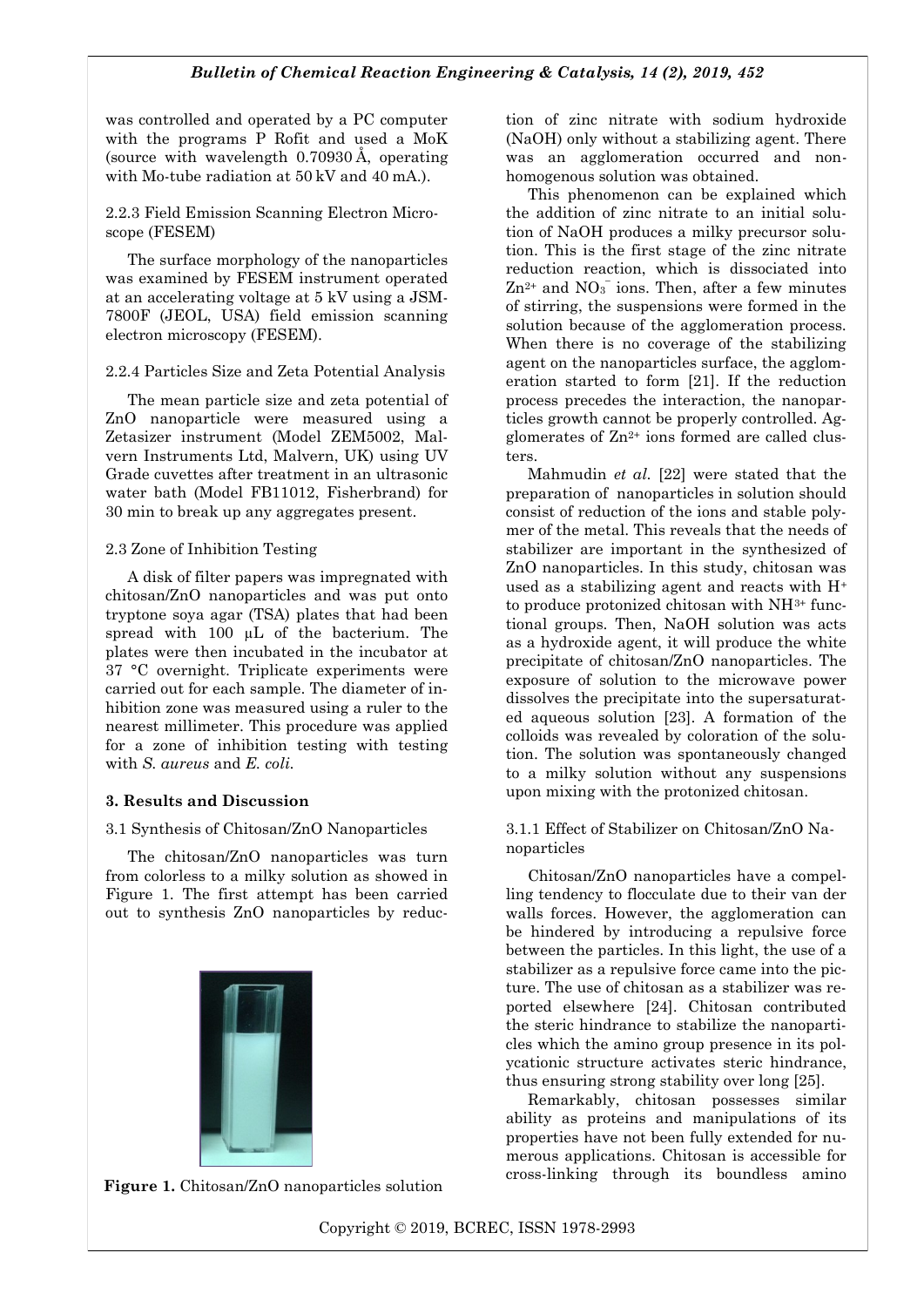was controlled and operated by a PC computer with the programs P Rofit and used a MoK (source with wavelength 0.70930 Å, operating with Mo-tube radiation at 50 kV and 40 mA.).

2.2.3 Field Emission Scanning Electron Microscope (FESEM)

The surface morphology of the nanoparticles was examined by FESEM instrument operated at an accelerating voltage at 5 kV using a JSM-7800F (JEOL, USA) field emission scanning electron microscopy (FESEM).

2.2.4 Particles Size and Zeta Potential Analysis

The mean particle size and zeta potential of ZnO nanoparticle were measured using a Zetasizer instrument (Model ZEM5002, Malvern Instruments Ltd, Malvern, UK) using UV Grade cuvettes after treatment in an ultrasonic water bath (Model FB11012, Fisherbrand) for 30 min to break up any aggregates present.

## 2.3 Zone of Inhibition Testing

A disk of filter papers was impregnated with chitosan/ZnO nanoparticles and was put onto tryptone soya agar (TSA) plates that had been spread with 100  $\mu$ L of the bacterium. The plates were then incubated in the incubator at 37 °C overnight. Triplicate experiments were carried out for each sample. The diameter of inhibition zone was measured using a ruler to the nearest millimeter. This procedure was applied for a zone of inhibition testing with testing with *S. aureus* and *E. coli.*

# **3. Results and Discussion**

# 3.1 Synthesis of Chitosan/ZnO Nanoparticles

The chitosan/ZnO nanoparticles was turn from colorless to a milky solution as showed in Figure 1. The first attempt has been carried out to synthesis ZnO nanoparticles by reduc-



**Figure 1.** Chitosan/ZnO nanoparticles solution

tion of zinc nitrate with sodium hydroxide (NaOH) only without a stabilizing agent. There was an agglomeration occurred and nonhomogenous solution was obtained.

This phenomenon can be explained which the addition of zinc nitrate to an initial solution of NaOH produces a milky precursor solution. This is the first stage of the zinc nitrate reduction reaction, which is dissociated into  $\text{Zn}^{2+}$  and  $\text{NO}_3^-$  ions. Then, after a few minutes of stirring, the suspensions were formed in the solution because of the agglomeration process. When there is no coverage of the stabilizing agent on the nanoparticles surface, the agglomeration started to form [21]. If the reduction process precedes the interaction, the nanoparticles growth cannot be properly controlled. Agglomerates of  $Zn^{2+}$  ions formed are called clusters.

Mahmudin *et al.* [22] were stated that the preparation of nanoparticles in solution should consist of reduction of the ions and stable polymer of the metal. This reveals that the needs of stabilizer are important in the synthesized of ZnO nanoparticles. In this study, chitosan was used as a stabilizing agent and reacts with H<sup>+</sup> to produce protonized chitosan with NH3+ functional groups. Then, NaOH solution was acts as a hydroxide agent, it will produce the white precipitate of chitosan/ZnO nanoparticles. The exposure of solution to the microwave power dissolves the precipitate into the supersaturated aqueous solution [23]. A formation of the colloids was revealed by coloration of the solution. The solution was spontaneously changed to a milky solution without any suspensions upon mixing with the protonized chitosan.

## 3.1.1 Effect of Stabilizer on Chitosan/ZnO Nanoparticles

Chitosan/ZnO nanoparticles have a compelling tendency to flocculate due to their van der walls forces. However, the agglomeration can be hindered by introducing a repulsive force between the particles. In this light, the use of a stabilizer as a repulsive force came into the picture. The use of chitosan as a stabilizer was reported elsewhere [24]. Chitosan contributed the steric hindrance to stabilize the nanoparticles which the amino group presence in its polycationic structure activates steric hindrance, thus ensuring strong stability over long [25].

Remarkably, chitosan possesses similar ability as proteins and manipulations of its properties have not been fully extended for numerous applications. Chitosan is accessible for cross-linking through its boundless amino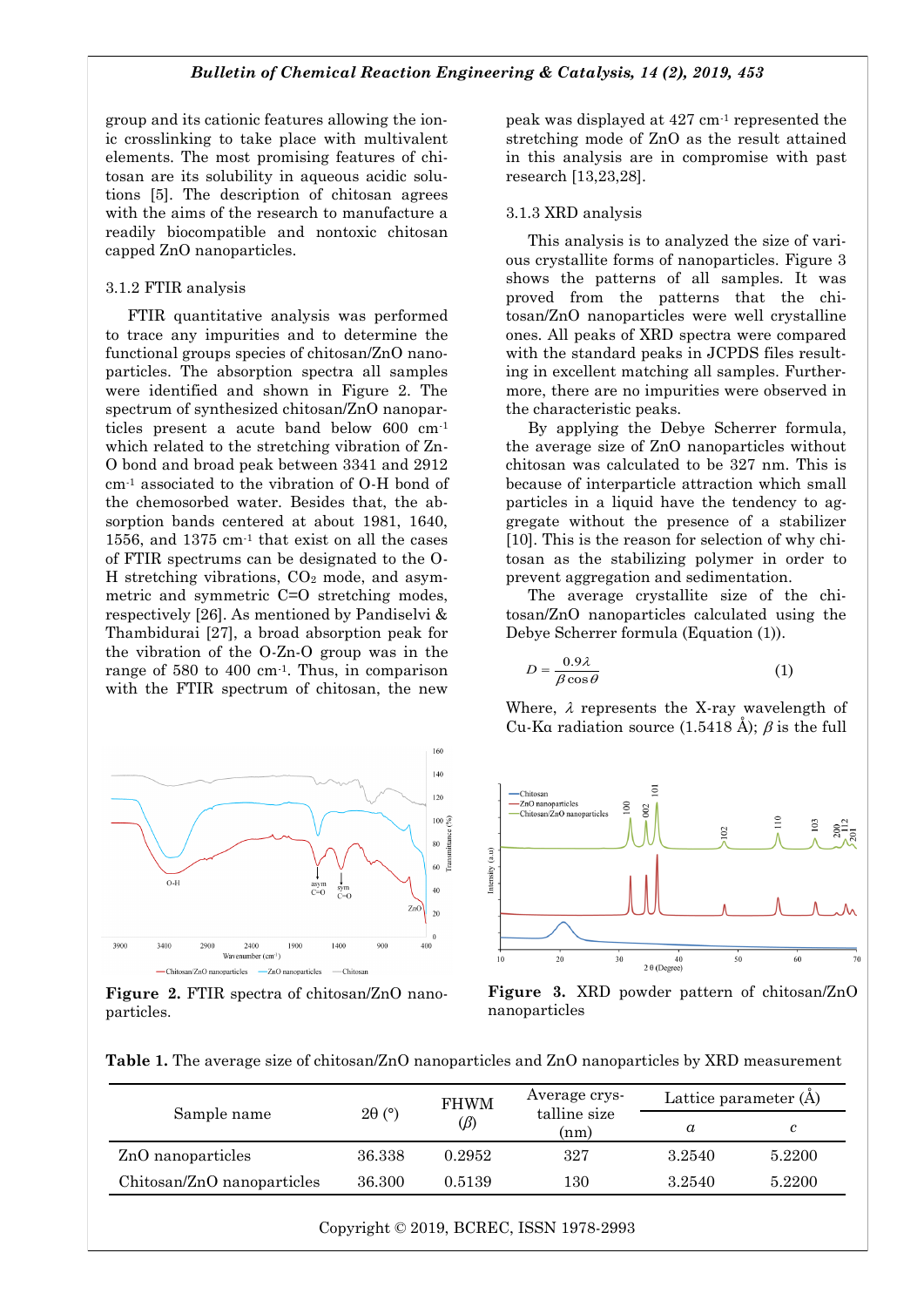group and its cationic features allowing the ionic crosslinking to take place with multivalent elements. The most promising features of chitosan are its solubility in aqueous acidic solutions [5]. The description of chitosan agrees with the aims of the research to manufacture a readily biocompatible and nontoxic chitosan capped ZnO nanoparticles.

#### 3.1.2 FTIR analysis

FTIR quantitative analysis was performed to trace any impurities and to determine the functional groups species of chitosan/ZnO nanoparticles. The absorption spectra all samples were identified and shown in Figure 2. The spectrum of synthesized chitosan/ZnO nanoparticles present a acute band below 600 cm-1 which related to the stretching vibration of Zn-O bond and broad peak between 3341 and 2912 cm-1 associated to the vibration of O-H bond of the chemosorbed water. Besides that, the absorption bands centered at about 1981, 1640. 1556, and 1375 cm-1 that exist on all the cases of FTIR spectrums can be designated to the O-H stretching vibrations, CO<sup>2</sup> mode, and asymmetric and symmetric C=O stretching modes, respectively [26]. As mentioned by Pandiselvi & Thambidurai [27], a broad absorption peak for the vibration of the O-Zn-O group was in the range of 580 to 400 cm-1. Thus, in comparison with the FTIR spectrum of chitosan, the new



**Figure 2.** FTIR spectra of chitosan/ZnO nanoparticles.

peak was displayed at 427 cm-1 represented the stretching mode of ZnO as the result attained in this analysis are in compromise with past research [13,23,28].

#### 3.1.3 XRD analysis

This analysis is to analyzed the size of various crystallite forms of nanoparticles. Figure 3 shows the patterns of all samples. It was proved from the patterns that the chitosan/ZnO nanoparticles were well crystalline ones. All peaks of XRD spectra were compared with the standard peaks in JCPDS files resulting in excellent matching all samples. Furthermore, there are no impurities were observed in the characteristic peaks.

By applying the Debye Scherrer formula, the average size of ZnO nanoparticles without chitosan was calculated to be 327 nm. This is because of interparticle attraction which small particles in a liquid have the tendency to aggregate without the presence of a stabilizer [10]. This is the reason for selection of why chitosan as the stabilizing polymer in order to prevent aggregation and sedimentation.

The average crystallite size of the chitosan/ZnO nanoparticles calculated using the Debye Scherrer formula (Equation (1)).

$$
D = \frac{0.9\lambda}{\beta \cos \theta} \tag{1}
$$

Where,  $\lambda$  represents the X-ray wavelength of Cu-Ka radiation source  $(1.5418 \text{ Å})$ ;  $\beta$  is the full



**Figure 3.** XRD powder pattern of chitosan/ZnO nanoparticles

**Table 1.** The average size of chitosan/ZnO nanoparticles and ZnO nanoparticles by XRD measurement

| Sample name                | $2\theta$ (°) | <b>FHWM</b><br>$(\beta)$ | Average crys-<br>talline size<br>(nm) | Lattice parameter (A) |        |
|----------------------------|---------------|--------------------------|---------------------------------------|-----------------------|--------|
|                            |               |                          |                                       | $\alpha$              |        |
| ZnO nanoparticles          | 36.338        | 0.2952                   | 327                                   | 3.2540                | 5.2200 |
| Chitosan/ZnO nanoparticles | 36.300        | 0.5139                   | 130                                   | 3.2540                | 5.2200 |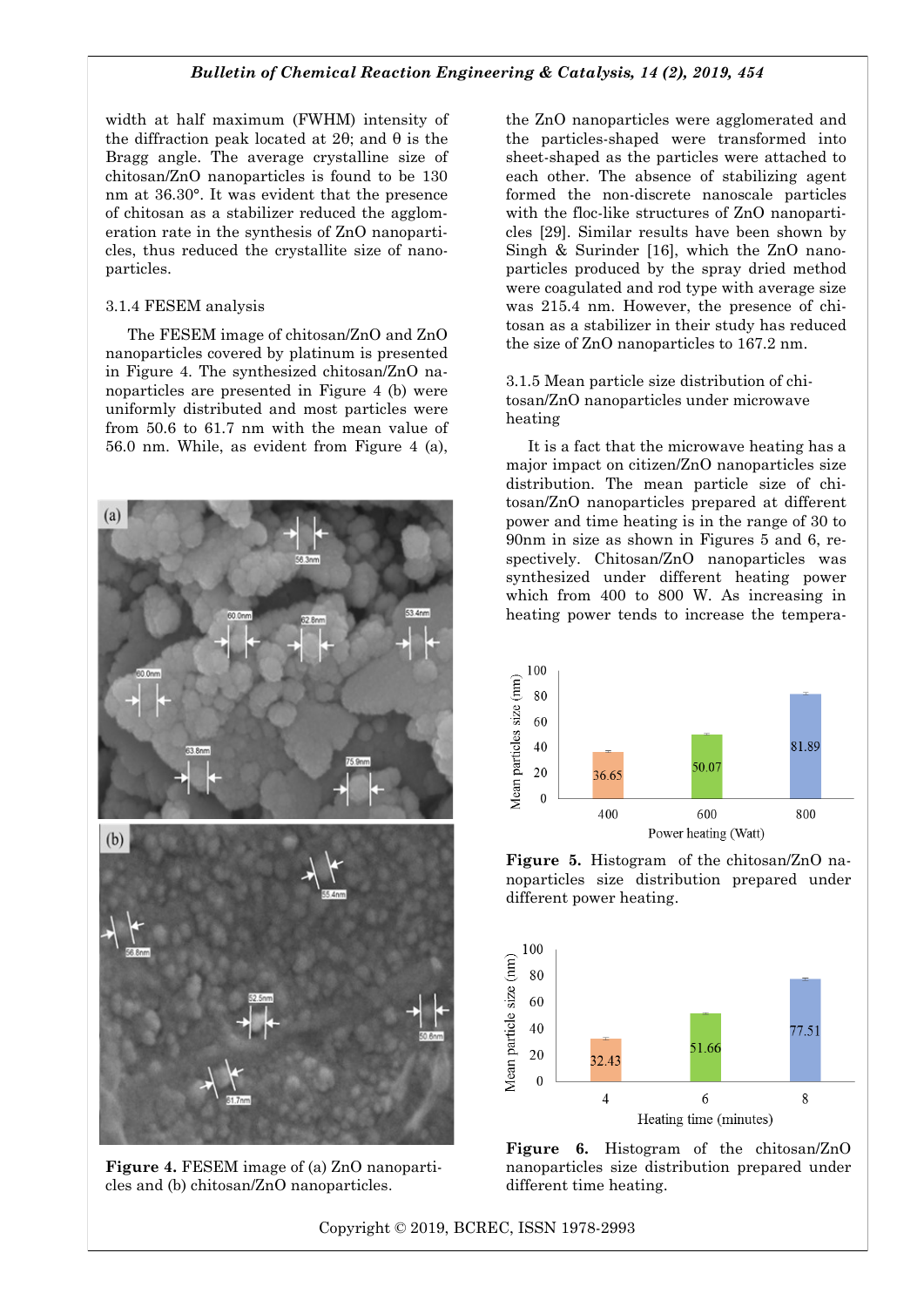width at half maximum (FWHM) intensity of the diffraction peak located at 2θ; and θ is the Bragg angle. The average crystalline size of chitosan/ZnO nanoparticles is found to be 130 nm at 36.30°. It was evident that the presence of chitosan as a stabilizer reduced the agglomeration rate in the synthesis of ZnO nanoparticles, thus reduced the crystallite size of nanoparticles.

#### 3.1.4 FESEM analysis

The FESEM image of chitosan/ZnO and ZnO nanoparticles covered by platinum is presented in Figure 4. The synthesized chitosan/ZnO nanoparticles are presented in Figure 4 (b) were uniformly distributed and most particles were from 50.6 to 61.7 nm with the mean value of 56.0 nm. While, as evident from Figure 4 (a),



**Figure 4.** FESEM image of (a) ZnO nanoparticles and (b) chitosan/ZnO nanoparticles.

the ZnO nanoparticles were agglomerated and the particles-shaped were transformed into sheet-shaped as the particles were attached to each other. The absence of stabilizing agent formed the non-discrete nanoscale particles with the floc-like structures of ZnO nanoparticles [29]. Similar results have been shown by Singh & Surinder [16], which the ZnO nanoparticles produced by the spray dried method were coagulated and rod type with average size was 215.4 nm. However, the presence of chitosan as a stabilizer in their study has reduced the size of ZnO nanoparticles to 167.2 nm.

3.1.5 Mean particle size distribution of chitosan/ZnO nanoparticles under microwave heating

It is a fact that the microwave heating has a major impact on citizen/ZnO nanoparticles size distribution. The mean particle size of chitosan/ZnO nanoparticles prepared at different power and time heating is in the range of 30 to 90nm in size as shown in Figures 5 and 6, respectively. Chitosan/ZnO nanoparticles was synthesized under different heating power which from 400 to 800 W. As increasing in heating power tends to increase the tempera-



**Figure 5.** Histogram of the chitosan/ZnO nanoparticles size distribution prepared under different power heating.



**Figure 6.** Histogram of the chitosan/ZnO nanoparticles size distribution prepared under different time heating.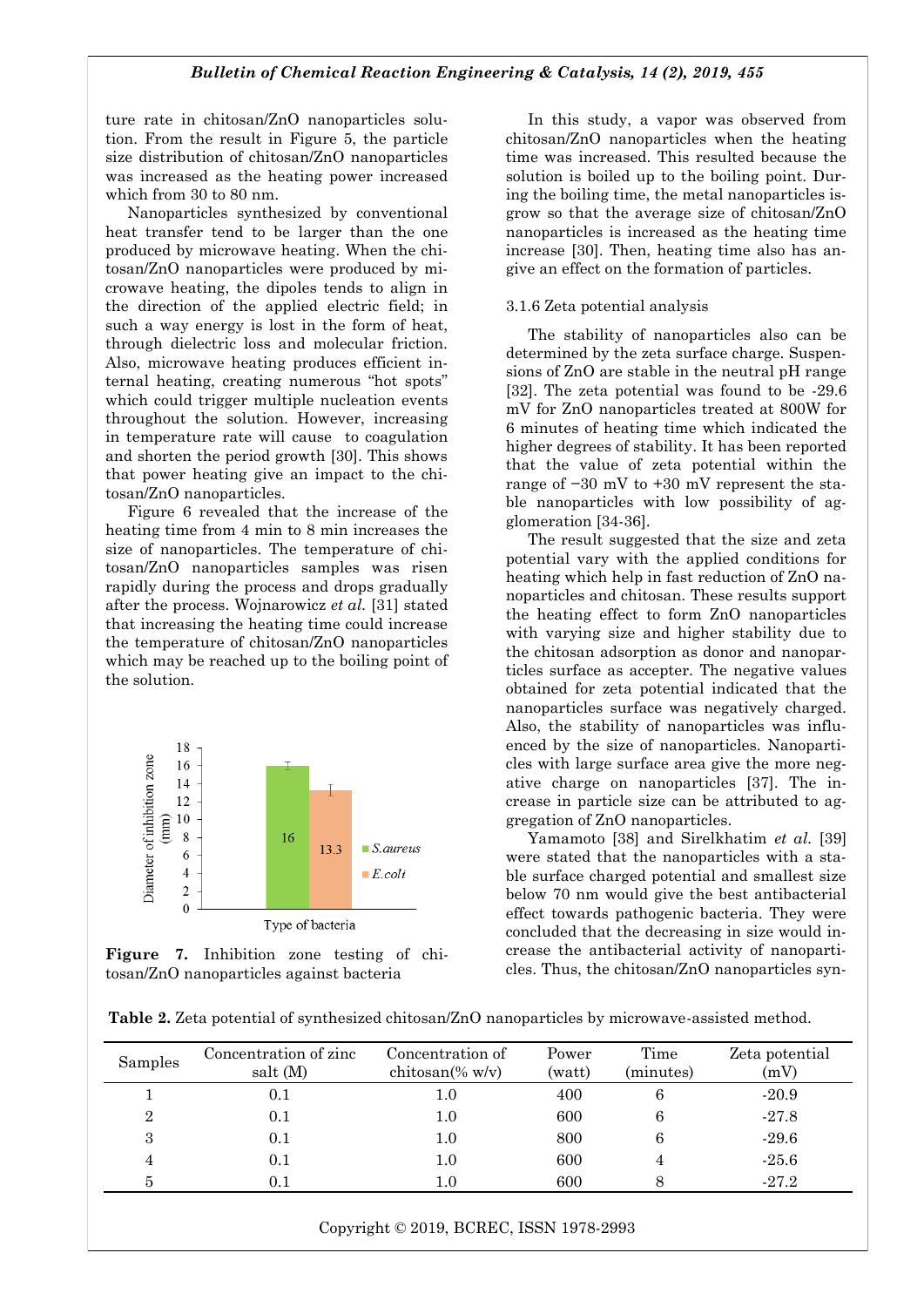ture rate in chitosan/ZnO nanoparticles solution. From the result in Figure 5, the particle size distribution of chitosan/ZnO nanoparticles was increased as the heating power increased which from 30 to 80 nm.

Nanoparticles synthesized by conventional heat transfer tend to be larger than the one produced by microwave heating. When the chitosan/ZnO nanoparticles were produced by microwave heating, the dipoles tends to align in the direction of the applied electric field; in such a way energy is lost in the form of heat, through dielectric loss and molecular friction. Also, microwave heating produces efficient internal heating, creating numerous "hot spots" which could trigger multiple nucleation events throughout the solution. However, increasing in temperature rate will cause to coagulation and shorten the period growth [30]. This shows that power heating give an impact to the chitosan/ZnO nanoparticles.

Figure 6 revealed that the increase of the heating time from 4 min to 8 min increases the size of nanoparticles. The temperature of chitosan/ZnO nanoparticles samples was risen rapidly during the process and drops gradually after the process. Wojnarowicz *et al.* [31] stated that increasing the heating time could increase the temperature of chitosan/ZnO nanoparticles which may be reached up to the boiling point of the solution.





In this study, a vapor was observed from chitosan/ZnO nanoparticles when the heating time was increased. This resulted because the solution is boiled up to the boiling point. During the boiling time, the metal nanoparticles isgrow so that the average size of chitosan/ZnO nanoparticles is increased as the heating time increase [30]. Then, heating time also has angive an effect on the formation of particles.

#### 3.1.6 Zeta potential analysis

The stability of nanoparticles also can be determined by the zeta surface charge. Suspensions of ZnO are stable in the neutral pH range [32]. The zeta potential was found to be -29.6 mV for ZnO nanoparticles treated at 800W for 6 minutes of heating time which indicated the higher degrees of stability. It has been reported that the value of zeta potential within the range of −30 mV to +30 mV represent the stable nanoparticles with low possibility of agglomeration [34-36].

The result suggested that the size and zeta potential vary with the applied conditions for heating which help in fast reduction of ZnO nanoparticles and chitosan. These results support the heating effect to form ZnO nanoparticles with varying size and higher stability due to the chitosan adsorption as donor and nanoparticles surface as accepter. The negative values obtained for zeta potential indicated that the nanoparticles surface was negatively charged. Also, the stability of nanoparticles was influenced by the size of nanoparticles. Nanoparticles with large surface area give the more negative charge on nanoparticles [37]. The increase in particle size can be attributed to aggregation of ZnO nanoparticles.

Yamamoto [38] and Sirelkhatim *et al.* [39] were stated that the nanoparticles with a stable surface charged potential and smallest size below 70 nm would give the best antibacterial effect towards pathogenic bacteria. They were concluded that the decreasing in size would increase the antibacterial activity of nanoparticles. Thus, the chitosan/ZnO nanoparticles syn-

| Table 2. Zeta potential of synthesized chitosan/ZnO nanoparticles by microwave-assisted method. |  |
|-------------------------------------------------------------------------------------------------|--|
|-------------------------------------------------------------------------------------------------|--|

| Samples        | Concentration of zinc<br>salt (M) | Concentration of<br>chitosan $%$ w/v) | Power<br>(watt) | Time<br>(minutes) | Zeta potential<br>(mV) |
|----------------|-----------------------------------|---------------------------------------|-----------------|-------------------|------------------------|
|                | 0.1                               | $1.0\,$                               | 400             | 6                 | $-20.9$                |
| $\overline{2}$ | 0.1                               | $1.0\,$                               | 600             | 6                 | $-27.8$                |
| 3              | 0.1                               | $1.0\,$                               | 800             | 6                 | $-29.6$                |
| 4              | 0.1                               | $1.0\,$                               | 600             |                   | $-25.6$                |
| 5              | 0.1                               | $1.0\,$                               | 600             |                   | $-27.2$                |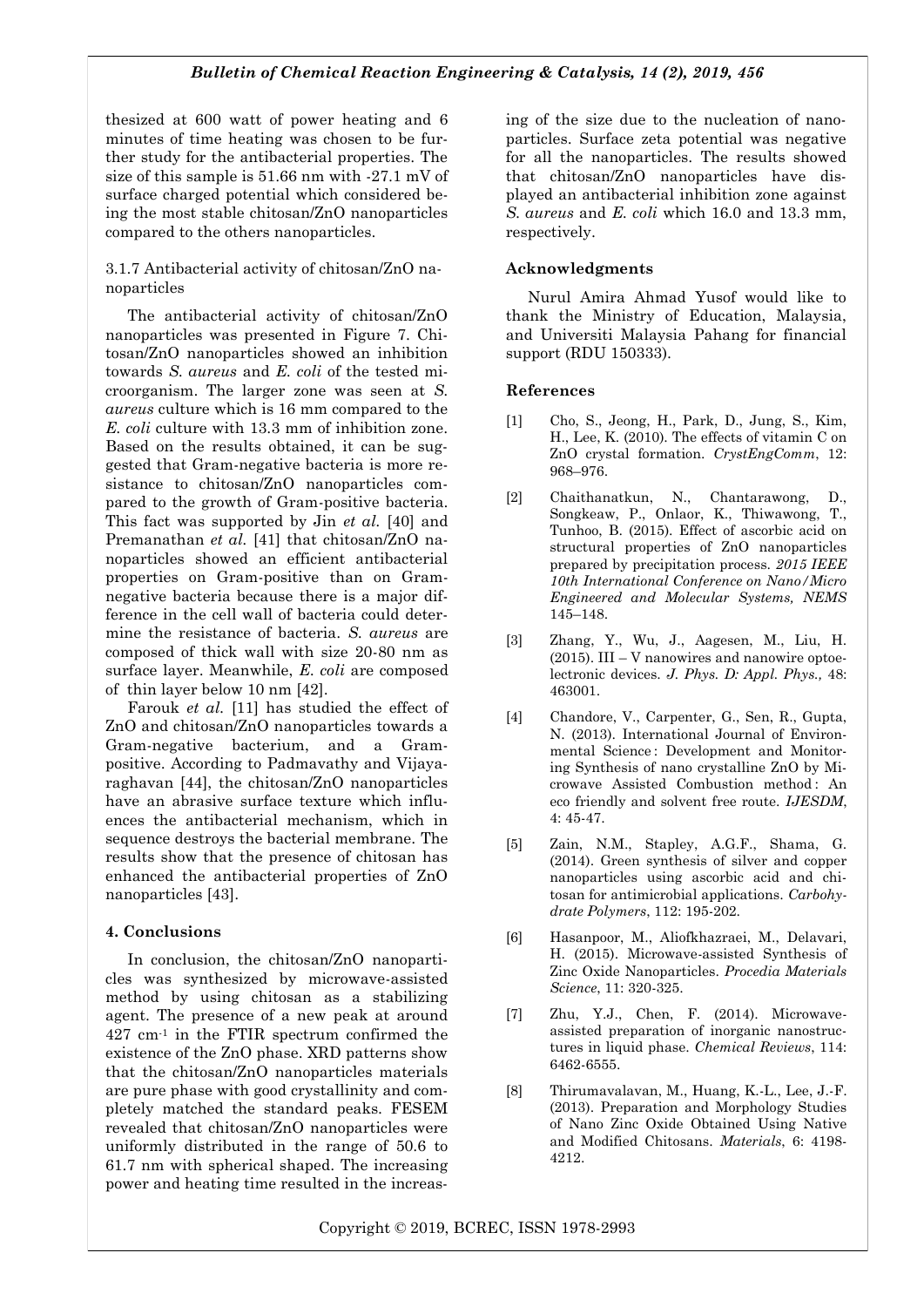thesized at 600 watt of power heating and 6 minutes of time heating was chosen to be further study for the antibacterial properties. The size of this sample is 51.66 nm with -27.1 mV of surface charged potential which considered being the most stable chitosan/ZnO nanoparticles compared to the others nanoparticles.

## 3.1.7 Antibacterial activity of chitosan/ZnO nanoparticles

The antibacterial activity of chitosan/ZnO nanoparticles was presented in Figure 7. Chitosan/ZnO nanoparticles showed an inhibition towards *S. aureus* and *E. coli* of the tested microorganism. The larger zone was seen at *S. aureus* culture which is 16 mm compared to the *E. coli* culture with 13.3 mm of inhibition zone. Based on the results obtained, it can be suggested that Gram-negative bacteria is more resistance to chitosan/ZnO nanoparticles compared to the growth of Gram-positive bacteria. This fact was supported by Jin *et al.* [40] and Premanathan *et al.* [41] that chitosan/ZnO nanoparticles showed an efficient antibacterial properties on Gram-positive than on Gramnegative bacteria because there is a major difference in the cell wall of bacteria could determine the resistance of bacteria. *S. aureus* are composed of thick wall with size 20-80 nm as surface layer. Meanwhile, *E. coli* are composed of thin layer below 10 nm [42].

Farouk *et al.* [11] has studied the effect of ZnO and chitosan/ZnO nanoparticles towards a Gram-negative bacterium, and a Grampositive. According to Padmavathy and Vijayaraghavan [44], the chitosan/ZnO nanoparticles have an abrasive surface texture which influences the antibacterial mechanism, which in sequence destroys the bacterial membrane. The results show that the presence of chitosan has enhanced the antibacterial properties of ZnO nanoparticles [43].

# **4. Conclusions**

In conclusion, the chitosan/ZnO nanoparticles was synthesized by microwave-assisted method by using chitosan as a stabilizing agent. The presence of a new peak at around 427 cm-1 in the FTIR spectrum confirmed the existence of the ZnO phase. XRD patterns show that the chitosan/ZnO nanoparticles materials are pure phase with good crystallinity and completely matched the standard peaks. FESEM revealed that chitosan/ZnO nanoparticles were uniformly distributed in the range of 50.6 to 61.7 nm with spherical shaped. The increasing power and heating time resulted in the increasing of the size due to the nucleation of nanoparticles. Surface zeta potential was negative for all the nanoparticles. The results showed that chitosan/ZnO nanoparticles have displayed an antibacterial inhibition zone against *S. aureus* and *E. coli* which 16.0 and 13.3 mm, respectively.

# **Acknowledgments**

Nurul Amira Ahmad Yusof would like to thank the Ministry of Education, Malaysia, and Universiti Malaysia Pahang for financial support (RDU 150333).

# **References**

- [1] Cho, S., Jeong, H., Park, D., Jung, S., Kim, H., Lee, K. (2010). The effects of vitamin C on ZnO crystal formation. *CrystEngComm*, 12: 968–976.
- [2] Chaithanatkun, N., Chantarawong, D., Songkeaw, P., Onlaor, K., Thiwawong, T., Tunhoo, B. (2015). Effect of ascorbic acid on structural properties of ZnO nanoparticles prepared by precipitation process. *2015 IEEE 10th International Conference on Nano/Micro Engineered and Molecular Systems, NEMS*  145–148.
- [3] Zhang, Y., Wu, J., Aagesen, M., Liu, H.  $(2015)$ . III – V nanowires and nanowire optoelectronic devices. *J. Phys. D: Appl. Phys.,* 48: 463001.
- [4] Chandore, V., Carpenter, G., Sen, R., Gupta, N. (2013). International Journal of Environmental Science : Development and Monitoring Synthesis of nano crystalline ZnO by Microwave Assisted Combustion method : An eco friendly and solvent free route. *IJESDM*, 4: 45-47.
- [5] Zain, N.M., Stapley, A.G.F., Shama, G. (2014). Green synthesis of silver and copper nanoparticles using ascorbic acid and chitosan for antimicrobial applications. *Carbohydrate Polymers*, 112: 195-202.
- [6] Hasanpoor, M., Aliofkhazraei, M., Delavari, H. (2015). Microwave-assisted Synthesis of Zinc Oxide Nanoparticles. *Procedia Materials Science*, 11: 320-325.
- [7] Zhu, Y.J., Chen, F. (2014). Microwaveassisted preparation of inorganic nanostructures in liquid phase. *Chemical Reviews*, 114: 6462-6555.
- [8] Thirumavalavan, M., Huang, K.-L., Lee, J.-F. (2013). Preparation and Morphology Studies of Nano Zinc Oxide Obtained Using Native and Modified Chitosans. *Materials*, 6: 4198- 4212.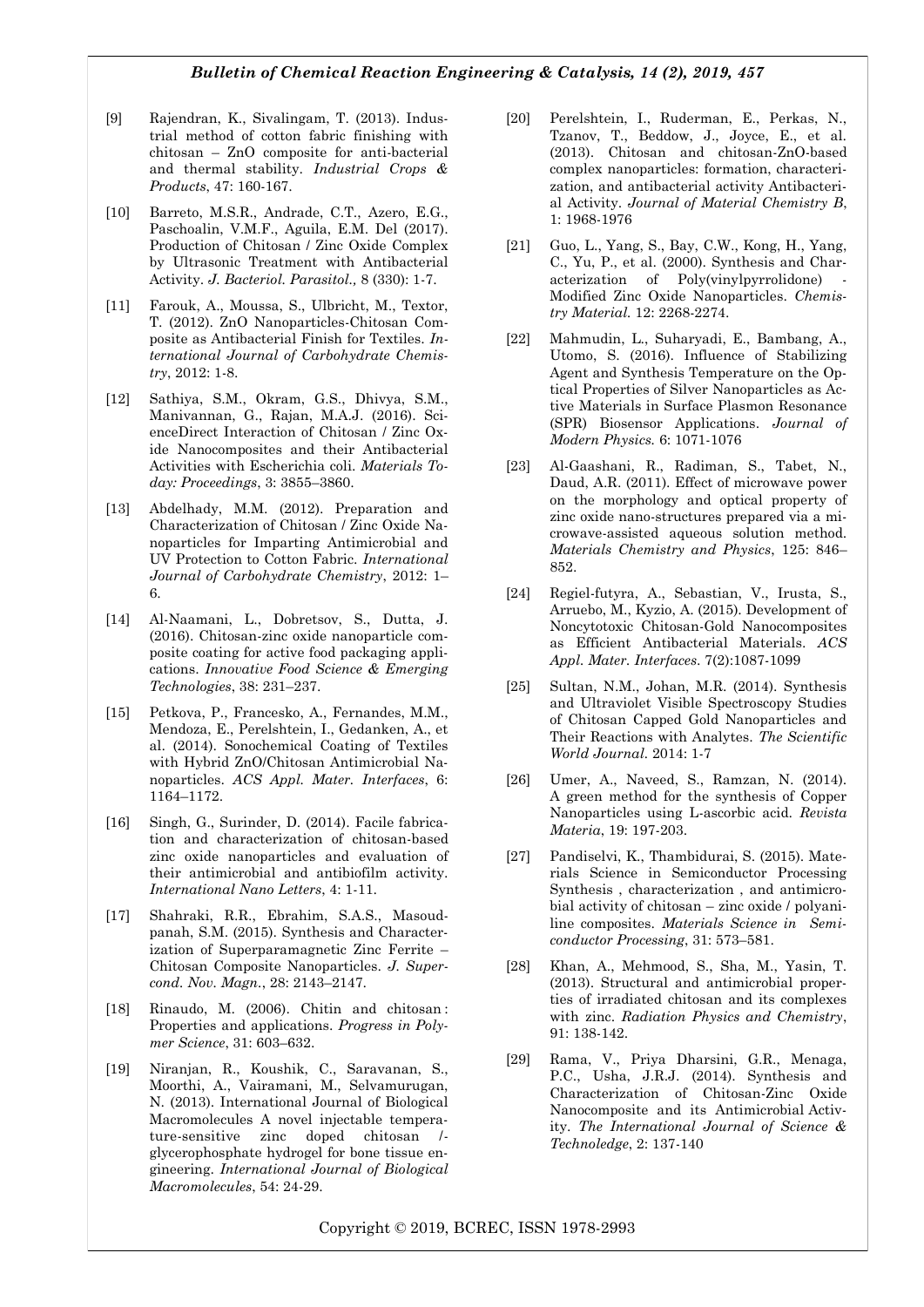- [9] Rajendran, K., Sivalingam, T. (2013). Industrial method of cotton fabric finishing with chitosan – ZnO composite for anti-bacterial and thermal stability. *Industrial Crops & Products*, 47: 160-167.
- [10] Barreto, M.S.R., Andrade, C.T., Azero, E.G., Paschoalin, V.M.F., Aguila, E.M. Del (2017). Production of Chitosan / Zinc Oxide Complex by Ultrasonic Treatment with Antibacterial Activity. *J. Bacteriol. Parasitol.,* 8 (330): 1-7.
- [11] Farouk, A., Moussa, S., Ulbricht, M., Textor, T. (2012). ZnO Nanoparticles-Chitosan Composite as Antibacterial Finish for Textiles. *International Journal of Carbohydrate Chemistry*, 2012: 1-8.
- [12] Sathiya, S.M., Okram, G.S., Dhivya, S.M., Manivannan, G., Rajan, M.A.J. (2016). ScienceDirect Interaction of Chitosan / Zinc Oxide Nanocomposites and their Antibacterial Activities with Escherichia coli. *Materials Today: Proceedings*, 3: 3855–3860.
- [13] Abdelhady, M.M. (2012). Preparation and Characterization of Chitosan / Zinc Oxide Nanoparticles for Imparting Antimicrobial and UV Protection to Cotton Fabric. *International Journal of Carbohydrate Chemistry*, 2012: 1– 6.
- [14] Al-Naamani, L., Dobretsov, S., Dutta, J. (2016). Chitosan-zinc oxide nanoparticle composite coating for active food packaging applications. *Innovative Food Science & Emerging Technologies*, 38: 231–237.
- [15] Petkova, P., Francesko, A., Fernandes, M.M., Mendoza, E., Perelshtein, I., Gedanken, A., et al. (2014). Sonochemical Coating of Textiles with Hybrid ZnO/Chitosan Antimicrobial Nanoparticles. *ACS Appl. Mater. Interfaces*, 6: 1164–1172.
- [16] Singh, G., Surinder, D. (2014). Facile fabrication and characterization of chitosan-based zinc oxide nanoparticles and evaluation of their antimicrobial and antibiofilm activity. *International Nano Letters*, 4: 1-11.
- [17] Shahraki, R.R., Ebrahim, S.A.S., Masoudpanah, S.M. (2015). Synthesis and Characterization of Superparamagnetic Zinc Ferrite – Chitosan Composite Nanoparticles. *J. Supercond. Nov. Magn.*, 28: 2143–2147.
- [18] Rinaudo, M. (2006). Chitin and chitosan : Properties and applications. *Progress in Polymer Science*, 31: 603–632.
- [19] Niranjan, R., Koushik, C., Saravanan, S., Moorthi, A., Vairamani, M., Selvamurugan, N. (2013). International Journal of Biological Macromolecules A novel injectable temperature-sensitive zinc doped chitosan / glycerophosphate hydrogel for bone tissue engineering. *International Journal of Biological Macromolecules*, 54: 24-29.
- [20] Perelshtein, I., Ruderman, E., Perkas, N., Tzanov, T., Beddow, J., Joyce, E., et al. (2013). Chitosan and chitosan-ZnO-based complex nanoparticles: formation, characterization, and antibacterial activity Antibacterial Activity. *Journal of Material Chemistry B*, 1: 1968-1976
- [21] Guo, L., Yang, S., Bay, C.W., Kong, H., Yang, C., Yu, P., et al. (2000). Synthesis and Characterization of Poly(vinylpyrrolidone) Modified Zinc Oxide Nanoparticles. *Chemistry Material.* 12: 2268-2274.
- [22] Mahmudin, L., Suharyadi, E., Bambang, A., Utomo, S. (2016). Influence of Stabilizing Agent and Synthesis Temperature on the Optical Properties of Silver Nanoparticles as Active Materials in Surface Plasmon Resonance (SPR) Biosensor Applications. *Journal of Modern Physics.* 6: 1071-1076
- [23] Al-Gaashani, R., Radiman, S., Tabet, N., Daud, A.R. (2011). Effect of microwave power on the morphology and optical property of zinc oxide nano-structures prepared via a microwave-assisted aqueous solution method. *Materials Chemistry and Physics*, 125: 846– 852.
- [24] Regiel-futyra, A., Sebastian, V., Irusta, S., Arruebo, M., Kyzio, A. (2015). Development of Noncytotoxic Chitosan-Gold Nanocomposites as Efficient Antibacterial Materials. *ACS Appl. Mater. Interfaces*. 7(2):1087-1099
- [25] Sultan, N.M., Johan, M.R. (2014). Synthesis and Ultraviolet Visible Spectroscopy Studies of Chitosan Capped Gold Nanoparticles and Their Reactions with Analytes. *The Scientific World Journal.* 2014: 1-7
- [26] Umer, A., Naveed, S., Ramzan, N. (2014). A green method for the synthesis of Copper Nanoparticles using L-ascorbic acid. *Revista Materia*, 19: 197-203.
- [27] Pandiselvi, K., Thambidurai, S. (2015). Materials Science in Semiconductor Processing Synthesis , characterization , and antimicrobial activity of chitosan – zinc oxide / polyaniline composites. *Materials Science in Semiconductor Processing*, 31: 573–581.
- [28] Khan, A., Mehmood, S., Sha, M., Yasin, T. (2013). Structural and antimicrobial properties of irradiated chitosan and its complexes with zinc. *Radiation Physics and Chemistry*, 91: 138-142.
- [29] Rama, V., Priya Dharsini, G.R., Menaga, P.C., Usha, J.R.J. (2014). Synthesis and Characterization of Chitosan-Zinc Oxide Nanocomposite and its Antimicrobial Activity. *The International Journal of Science & Technoledge*, 2: 137-140